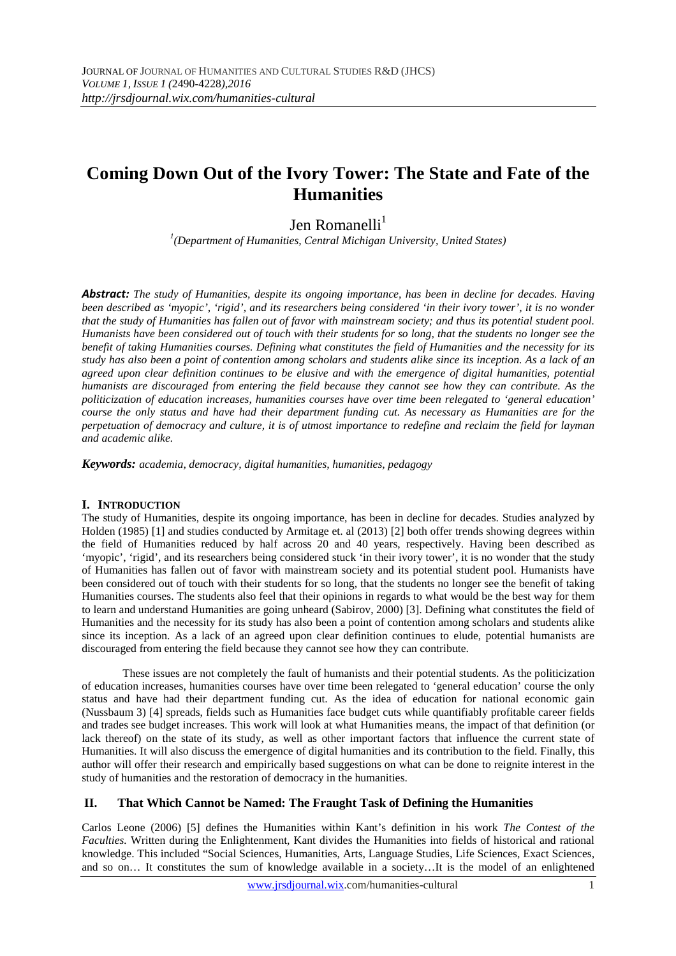# **Coming Down Out of the Ivory Tower: The State and Fate of the Humanities**

# Jen Romanelli $<sup>1</sup>$ </sup>

*1 (Department of Humanities, Central Michigan University, United States)* 

*Abstract: The study of Humanities, despite its ongoing importance, has been in decline for decades. Having been described as 'myopic', 'rigid', and its researchers being considered 'in their ivory tower', it is no wonder that the study of Humanities has fallen out of favor with mainstream society; and thus its potential student pool. Humanists have been considered out of touch with their students for so long, that the students no longer see the benefit of taking Humanities courses. Defining what constitutes the field of Humanities and the necessity for its study has also been a point of contention among scholars and students alike since its inception. As a lack of an agreed upon clear definition continues to be elusive and with the emergence of digital humanities, potential humanists are discouraged from entering the field because they cannot see how they can contribute. As the politicization of education increases, humanities courses have over time been relegated to 'general education' course the only status and have had their department funding cut. As necessary as Humanities are for the perpetuation of democracy and culture, it is of utmost importance to redefine and reclaim the field for layman and academic alike.* 

*Keywords: academia, democracy, digital humanities, humanities, pedagogy*

#### **I. INTRODUCTION**

The study of Humanities, despite its ongoing importance, has been in decline for decades. Studies analyzed by Holden (1985) [1] and studies conducted by Armitage et. al (2013) [2] both offer trends showing degrees within the field of Humanities reduced by half across 20 and 40 years, respectively. Having been described as 'myopic', 'rigid', and its researchers being considered stuck 'in their ivory tower', it is no wonder that the study of Humanities has fallen out of favor with mainstream society and its potential student pool. Humanists have been considered out of touch with their students for so long, that the students no longer see the benefit of taking Humanities courses. The students also feel that their opinions in regards to what would be the best way for them to learn and understand Humanities are going unheard (Sabirov, 2000) [3]. Defining what constitutes the field of Humanities and the necessity for its study has also been a point of contention among scholars and students alike since its inception. As a lack of an agreed upon clear definition continues to elude, potential humanists are discouraged from entering the field because they cannot see how they can contribute.

 These issues are not completely the fault of humanists and their potential students. As the politicization of education increases, humanities courses have over time been relegated to 'general education' course the only status and have had their department funding cut. As the idea of education for national economic gain (Nussbaum 3) [4] spreads, fields such as Humanities face budget cuts while quantifiably profitable career fields and trades see budget increases. This work will look at what Humanities means, the impact of that definition (or lack thereof) on the state of its study, as well as other important factors that influence the current state of Humanities. It will also discuss the emergence of digital humanities and its contribution to the field. Finally, this author will offer their research and empirically based suggestions on what can be done to reignite interest in the study of humanities and the restoration of democracy in the humanities.

# **II. That Which Cannot be Named: The Fraught Task of Defining the Humanities**

Carlos Leone (2006) [5] defines the Humanities within Kant's definition in his work *The Contest of the Faculties.* Written during the Enlightenment, Kant divides the Humanities into fields of historical and rational knowledge. This included "Social Sciences, Humanities, Arts, Language Studies, Life Sciences, Exact Sciences, and so on… It constitutes the sum of knowledge available in a society…It is the model of an enlightened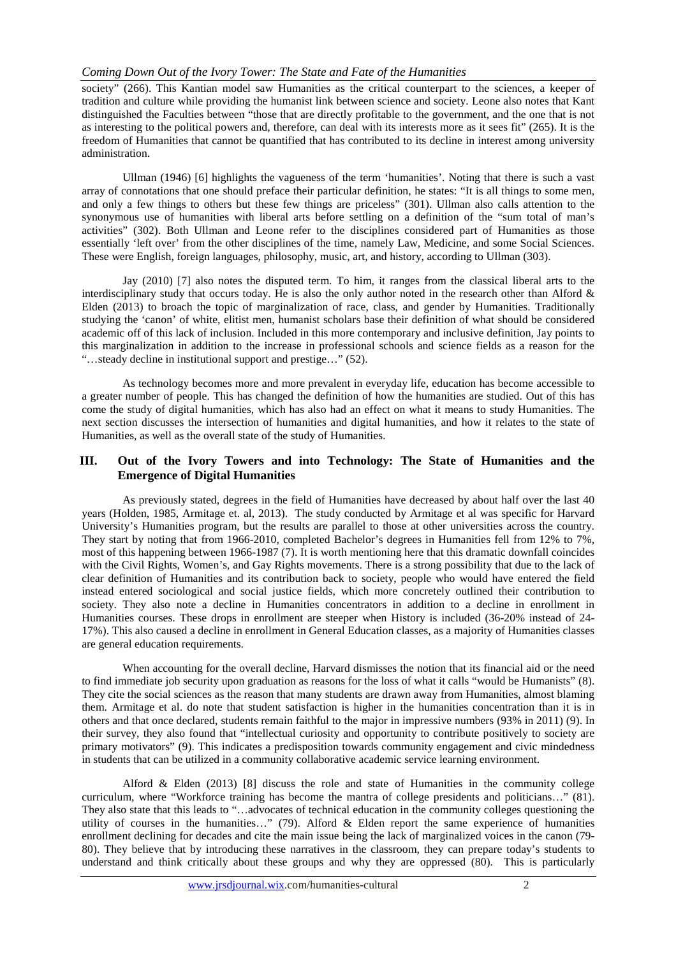#### *Coming Down Out of the Ivory Tower: The State and Fate of the Humanities*

society" (266). This Kantian model saw Humanities as the critical counterpart to the sciences, a keeper of tradition and culture while providing the humanist link between science and society. Leone also notes that Kant distinguished the Faculties between "those that are directly profitable to the government, and the one that is not as interesting to the political powers and, therefore, can deal with its interests more as it sees fit" (265). It is the freedom of Humanities that cannot be quantified that has contributed to its decline in interest among university administration.

 Ullman (1946) [6] highlights the vagueness of the term 'humanities'. Noting that there is such a vast array of connotations that one should preface their particular definition, he states: "It is all things to some men, and only a few things to others but these few things are priceless" (301). Ullman also calls attention to the synonymous use of humanities with liberal arts before settling on a definition of the "sum total of man's activities" (302). Both Ullman and Leone refer to the disciplines considered part of Humanities as those essentially 'left over' from the other disciplines of the time, namely Law, Medicine, and some Social Sciences. These were English, foreign languages, philosophy, music, art, and history, according to Ullman (303).

 Jay (2010) [7] also notes the disputed term. To him, it ranges from the classical liberal arts to the interdisciplinary study that occurs today. He is also the only author noted in the research other than Alford & Elden (2013) to broach the topic of marginalization of race, class, and gender by Humanities. Traditionally studying the 'canon' of white, elitist men, humanist scholars base their definition of what should be considered academic off of this lack of inclusion. Included in this more contemporary and inclusive definition, Jay points to this marginalization in addition to the increase in professional schools and science fields as a reason for the "…steady decline in institutional support and prestige…" (52).

 As technology becomes more and more prevalent in everyday life, education has become accessible to a greater number of people. This has changed the definition of how the humanities are studied. Out of this has come the study of digital humanities, which has also had an effect on what it means to study Humanities. The next section discusses the intersection of humanities and digital humanities, and how it relates to the state of Humanities, as well as the overall state of the study of Humanities.

#### **III. Out of the Ivory Towers and into Technology: The State of Humanities and the Emergence of Digital Humanities**

As previously stated, degrees in the field of Humanities have decreased by about half over the last 40 years (Holden, 1985, Armitage et. al, 2013). The study conducted by Armitage et al was specific for Harvard University's Humanities program, but the results are parallel to those at other universities across the country. They start by noting that from 1966-2010, completed Bachelor's degrees in Humanities fell from 12% to 7%, most of this happening between 1966-1987 (7). It is worth mentioning here that this dramatic downfall coincides with the Civil Rights, Women's, and Gay Rights movements. There is a strong possibility that due to the lack of clear definition of Humanities and its contribution back to society, people who would have entered the field instead entered sociological and social justice fields, which more concretely outlined their contribution to society. They also note a decline in Humanities concentrators in addition to a decline in enrollment in Humanities courses. These drops in enrollment are steeper when History is included (36-20% instead of 24- 17%). This also caused a decline in enrollment in General Education classes, as a majority of Humanities classes are general education requirements.

 When accounting for the overall decline, Harvard dismisses the notion that its financial aid or the need to find immediate job security upon graduation as reasons for the loss of what it calls "would be Humanists" (8). They cite the social sciences as the reason that many students are drawn away from Humanities, almost blaming them. Armitage et al. do note that student satisfaction is higher in the humanities concentration than it is in others and that once declared, students remain faithful to the major in impressive numbers (93% in 2011) (9). In their survey, they also found that "intellectual curiosity and opportunity to contribute positively to society are primary motivators" (9). This indicates a predisposition towards community engagement and civic mindedness in students that can be utilized in a community collaborative academic service learning environment.

Alford & Elden  $(2013)$  [8] discuss the role and state of Humanities in the community college curriculum, where "Workforce training has become the mantra of college presidents and politicians…" (81). They also state that this leads to "…advocates of technical education in the community colleges questioning the utility of courses in the humanities…" (79). Alford & Elden report the same experience of humanities enrollment declining for decades and cite the main issue being the lack of marginalized voices in the canon (79- 80). They believe that by introducing these narratives in the classroom, they can prepare today's students to understand and think critically about these groups and why they are oppressed (80). This is particularly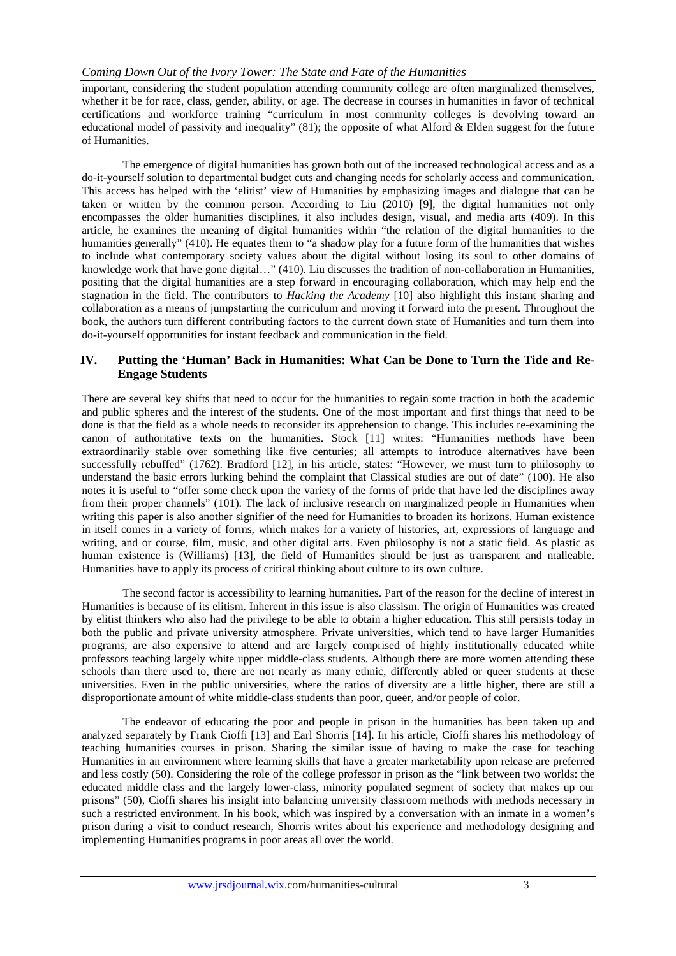important, considering the student population attending community college are often marginalized themselves, whether it be for race, class, gender, ability, or age. The decrease in courses in humanities in favor of technical certifications and workforce training "curriculum in most community colleges is devolving toward an educational model of passivity and inequality" (81); the opposite of what Alford & Elden suggest for the future of Humanities.

 The emergence of digital humanities has grown both out of the increased technological access and as a do-it-yourself solution to departmental budget cuts and changing needs for scholarly access and communication. This access has helped with the 'elitist' view of Humanities by emphasizing images and dialogue that can be taken or written by the common person. According to Liu (2010) [9], the digital humanities not only encompasses the older humanities disciplines, it also includes design, visual, and media arts (409). In this article, he examines the meaning of digital humanities within "the relation of the digital humanities to the humanities generally" (410). He equates them to "a shadow play for a future form of the humanities that wishes to include what contemporary society values about the digital without losing its soul to other domains of knowledge work that have gone digital…" (410). Liu discusses the tradition of non-collaboration in Humanities, positing that the digital humanities are a step forward in encouraging collaboration, which may help end the stagnation in the field. The contributors to *Hacking the Academy* [10] also highlight this instant sharing and collaboration as a means of jumpstarting the curriculum and moving it forward into the present. Throughout the book, the authors turn different contributing factors to the current down state of Humanities and turn them into do-it-yourself opportunities for instant feedback and communication in the field.

## **IV. Putting the 'Human' Back in Humanities: What Can be Done to Turn the Tide and Re-Engage Students**

There are several key shifts that need to occur for the humanities to regain some traction in both the academic and public spheres and the interest of the students. One of the most important and first things that need to be done is that the field as a whole needs to reconsider its apprehension to change. This includes re-examining the canon of authoritative texts on the humanities. Stock [11] writes: "Humanities methods have been extraordinarily stable over something like five centuries; all attempts to introduce alternatives have been successfully rebuffed" (1762). Bradford [12], in his article, states: "However, we must turn to philosophy to understand the basic errors lurking behind the complaint that Classical studies are out of date" (100). He also notes it is useful to "offer some check upon the variety of the forms of pride that have led the disciplines away from their proper channels" (101). The lack of inclusive research on marginalized people in Humanities when writing this paper is also another signifier of the need for Humanities to broaden its horizons. Human existence in itself comes in a variety of forms, which makes for a variety of histories, art, expressions of language and writing, and or course, film, music, and other digital arts. Even philosophy is not a static field. As plastic as human existence is (Williams) [13], the field of Humanities should be just as transparent and malleable. Humanities have to apply its process of critical thinking about culture to its own culture.

 The second factor is accessibility to learning humanities. Part of the reason for the decline of interest in Humanities is because of its elitism. Inherent in this issue is also classism. The origin of Humanities was created by elitist thinkers who also had the privilege to be able to obtain a higher education. This still persists today in both the public and private university atmosphere. Private universities, which tend to have larger Humanities programs, are also expensive to attend and are largely comprised of highly institutionally educated white professors teaching largely white upper middle-class students. Although there are more women attending these schools than there used to, there are not nearly as many ethnic, differently abled or queer students at these universities. Even in the public universities, where the ratios of diversity are a little higher, there are still a disproportionate amount of white middle-class students than poor, queer, and/or people of color.

 The endeavor of educating the poor and people in prison in the humanities has been taken up and analyzed separately by Frank Cioffi [13] and Earl Shorris [14]. In his article, Cioffi shares his methodology of teaching humanities courses in prison. Sharing the similar issue of having to make the case for teaching Humanities in an environment where learning skills that have a greater marketability upon release are preferred and less costly (50). Considering the role of the college professor in prison as the "link between two worlds: the educated middle class and the largely lower-class, minority populated segment of society that makes up our prisons" (50), Cioffi shares his insight into balancing university classroom methods with methods necessary in such a restricted environment. In his book, which was inspired by a conversation with an inmate in a women's prison during a visit to conduct research, Shorris writes about his experience and methodology designing and implementing Humanities programs in poor areas all over the world.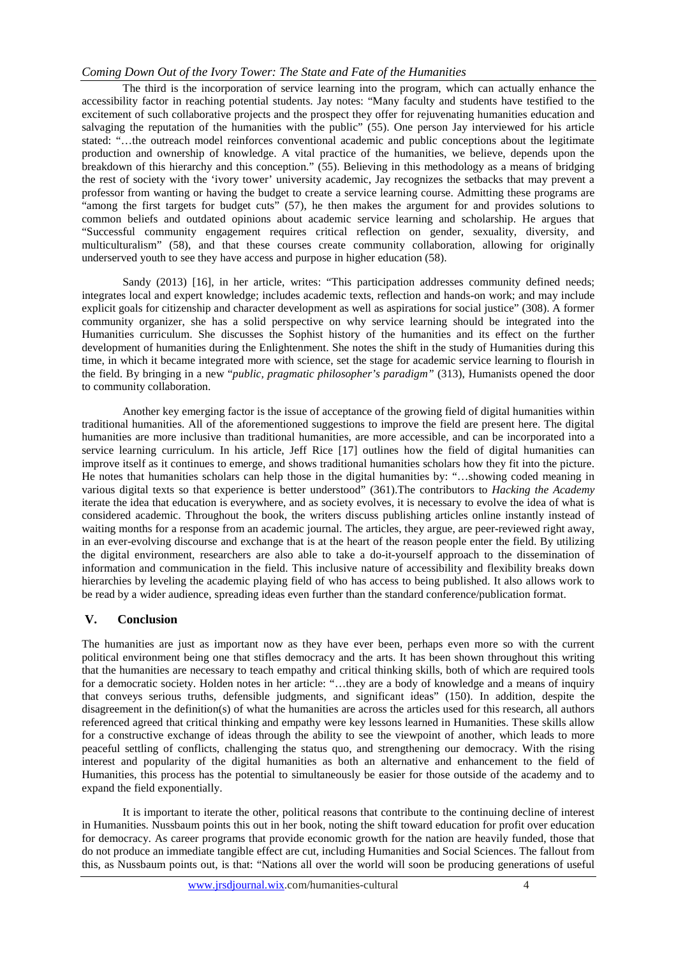## *Coming Down Out of the Ivory Tower: The State and Fate of the Humanities*

 The third is the incorporation of service learning into the program, which can actually enhance the accessibility factor in reaching potential students. Jay notes: "Many faculty and students have testified to the excitement of such collaborative projects and the prospect they offer for rejuvenating humanities education and salvaging the reputation of the humanities with the public" (55). One person Jay interviewed for his article stated: "…the outreach model reinforces conventional academic and public conceptions about the legitimate production and ownership of knowledge. A vital practice of the humanities, we believe, depends upon the breakdown of this hierarchy and this conception." (55). Believing in this methodology as a means of bridging the rest of society with the 'ivory tower' university academic, Jay recognizes the setbacks that may prevent a professor from wanting or having the budget to create a service learning course. Admitting these programs are "among the first targets for budget cuts" (57), he then makes the argument for and provides solutions to common beliefs and outdated opinions about academic service learning and scholarship. He argues that "Successful community engagement requires critical reflection on gender, sexuality, diversity, and multiculturalism" (58), and that these courses create community collaboration, allowing for originally underserved youth to see they have access and purpose in higher education (58).

Sandy (2013) [16], in her article, writes: "This participation addresses community defined needs; integrates local and expert knowledge; includes academic texts, reflection and hands-on work; and may include explicit goals for citizenship and character development as well as aspirations for social justice" (308). A former community organizer, she has a solid perspective on why service learning should be integrated into the Humanities curriculum. She discusses the Sophist history of the humanities and its effect on the further development of humanities during the Enlightenment. She notes the shift in the study of Humanities during this time, in which it became integrated more with science, set the stage for academic service learning to flourish in the field. By bringing in a new "*public, pragmatic philosopher's paradigm"* (313), Humanists opened the door to community collaboration.

 Another key emerging factor is the issue of acceptance of the growing field of digital humanities within traditional humanities. All of the aforementioned suggestions to improve the field are present here. The digital humanities are more inclusive than traditional humanities, are more accessible, and can be incorporated into a service learning curriculum. In his article, Jeff Rice [17] outlines how the field of digital humanities can improve itself as it continues to emerge, and shows traditional humanities scholars how they fit into the picture. He notes that humanities scholars can help those in the digital humanities by: "…showing coded meaning in various digital texts so that experience is better understood" (361).The contributors to *Hacking the Academy* iterate the idea that education is everywhere, and as society evolves, it is necessary to evolve the idea of what is considered academic. Throughout the book, the writers discuss publishing articles online instantly instead of waiting months for a response from an academic journal. The articles, they argue, are peer-reviewed right away, in an ever-evolving discourse and exchange that is at the heart of the reason people enter the field. By utilizing the digital environment, researchers are also able to take a do-it-yourself approach to the dissemination of information and communication in the field. This inclusive nature of accessibility and flexibility breaks down hierarchies by leveling the academic playing field of who has access to being published. It also allows work to be read by a wider audience, spreading ideas even further than the standard conference/publication format.

#### **V. Conclusion**

The humanities are just as important now as they have ever been, perhaps even more so with the current political environment being one that stifles democracy and the arts. It has been shown throughout this writing that the humanities are necessary to teach empathy and critical thinking skills, both of which are required tools for a democratic society. Holden notes in her article: "…they are a body of knowledge and a means of inquiry that conveys serious truths, defensible judgments, and significant ideas" (150). In addition, despite the disagreement in the definition(s) of what the humanities are across the articles used for this research, all authors referenced agreed that critical thinking and empathy were key lessons learned in Humanities. These skills allow for a constructive exchange of ideas through the ability to see the viewpoint of another, which leads to more peaceful settling of conflicts, challenging the status quo, and strengthening our democracy. With the rising interest and popularity of the digital humanities as both an alternative and enhancement to the field of Humanities, this process has the potential to simultaneously be easier for those outside of the academy and to expand the field exponentially.

 It is important to iterate the other, political reasons that contribute to the continuing decline of interest in Humanities. Nussbaum points this out in her book*,* noting the shift toward education for profit over education for democracy. As career programs that provide economic growth for the nation are heavily funded, those that do not produce an immediate tangible effect are cut, including Humanities and Social Sciences. The fallout from this, as Nussbaum points out, is that: "Nations all over the world will soon be producing generations of useful